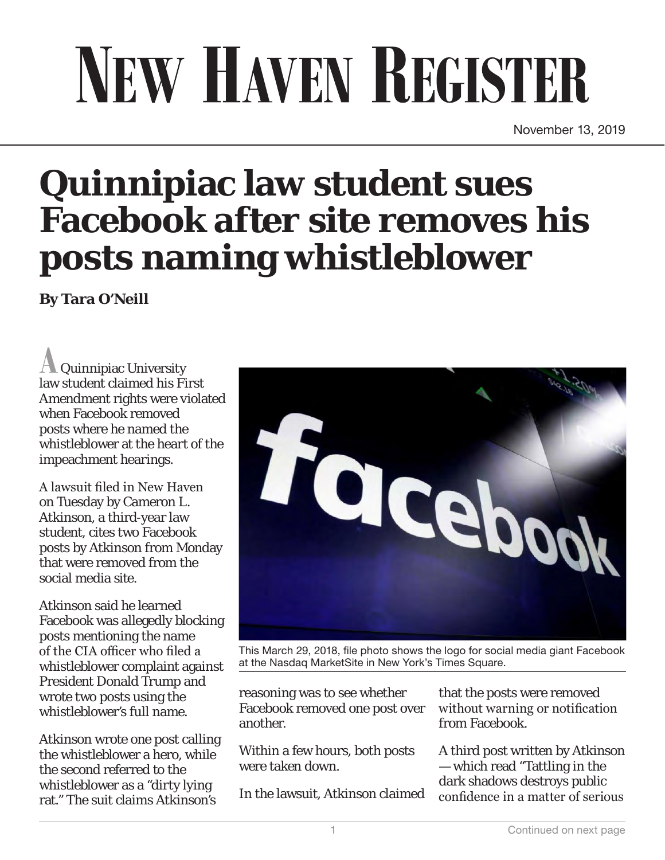## NEW HAVEN REGISTER

November 13, 2019

## **Quinnipiac law student sues Facebook after site removes his posts naming whistleblower**

**By Tara O'Neill**

**A** Quinnipiac University law student claimed his First Amendment rights were violated when Facebook removed posts where he named the whistleblower at the heart of the impeachment hearings.

A lawsuit filed in New Haven on Tuesday by Cameron L. Atkinson, a third-year law student, cites two Facebook posts by Atkinson from Monday that were removed from the social media site.

Atkinson said he learned Facebook was allegedly blocking posts mentioning the name of the CIA officer who filed a whistleblower complaint against President Donald Trump and wrote two posts using the whistleblower's full name.

Atkinson wrote one post calling the whistleblower a hero, while the second referred to the whistleblower as a "dirty lying rat." The suit claims Atkinson's



This March 29, 2018, file photo shows the logo for social media giant Facebook at the Nasdaq MarketSite in New York's Times Square.

reasoning was to see whether Facebook removed one post over another.

Within a few hours, both posts were taken down.

In the lawsuit, Atkinson claimed

that the posts were removed without warning or notification from Facebook.

A third post written by Atkinson — which read "Tattling in the dark shadows destroys public confidence in a matter of serious